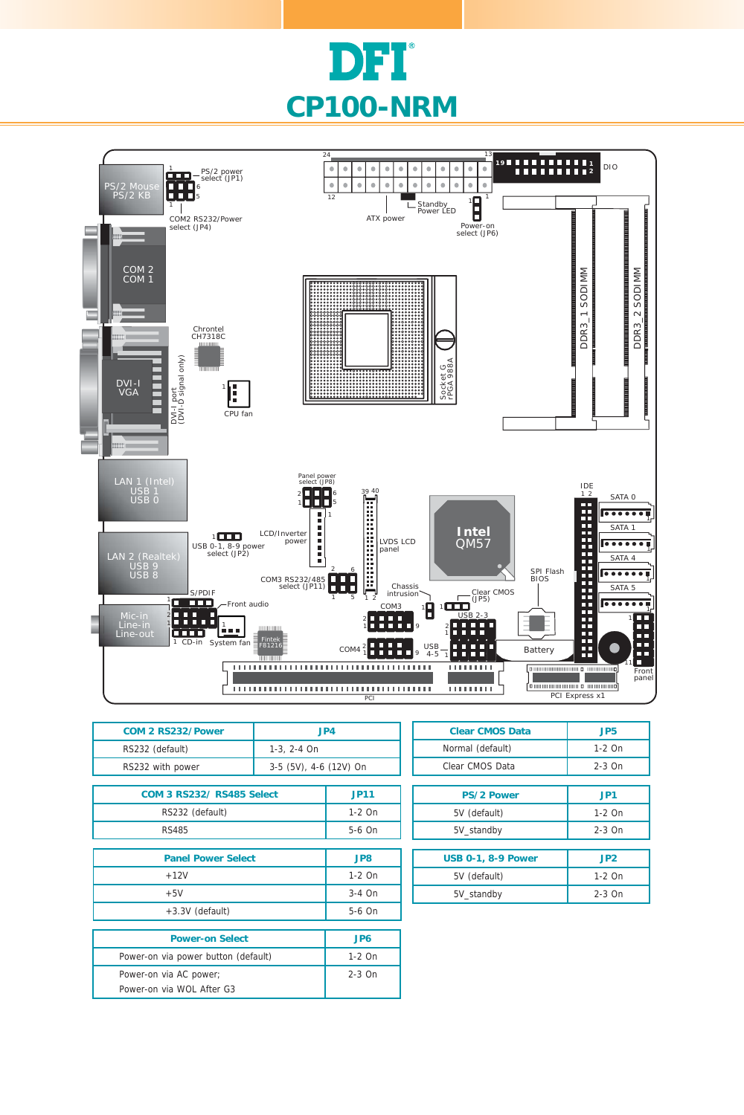



| COM 2 RS232/Power                   | JP4                    |             |
|-------------------------------------|------------------------|-------------|
| RS232 (default)                     | 1-3, 2-4 On            |             |
| RS232 with power                    | 3-5 (5V), 4-6 (12V) On |             |
|                                     |                        |             |
| <b>COM 3 RS232/ RS485 Select</b>    |                        | <b>JP11</b> |
| RS232 (default)                     |                        | $1-2$ On    |
| <b>RS485</b>                        |                        | 5-6 On      |
|                                     |                        |             |
| <b>Panel Power Select</b>           |                        | JP8         |
| $+12V$                              |                        | $1-2$ On    |
| $+5V$                               |                        | $3-4$ On    |
| +3.3V (default)                     |                        | 5-6 On      |
|                                     |                        |             |
| <b>Power-on Select</b>              |                        | JP6         |
| Power-on via power button (default) |                        | $1-2$ On    |
| Power-on via AC power;              |                        | $2-3$ On    |
| Power-on via WOL After G3           |                        |             |

| <b>Clear CMOS Data</b>    | JP5      |  |  |
|---------------------------|----------|--|--|
| Normal (default)          | $1-2$ On |  |  |
| Clear CMOS Data           | $2-3$ On |  |  |
|                           |          |  |  |
| <b>PS/2 Power</b>         | JP1      |  |  |
| 5V (default)              | $1-2$ On |  |  |
| 5V standby                | $2-3$ On |  |  |
|                           |          |  |  |
| <b>USB 0-1, 8-9 Power</b> | JP2      |  |  |
| 5V (default)              | $1-2$ On |  |  |
| 5V standby                | $2-3$ On |  |  |